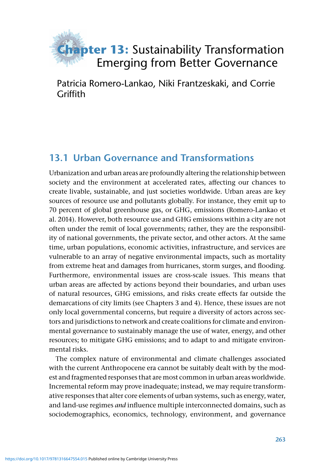

Patricia Romero-Lankao, Niki Frantzeskaki, and Corrie **Griffith** 

## **13.1 Urban Governance and Transformations**

 Urbanization and urban areas are profoundly altering the relationship between society and the environment at accelerated rates, affecting our chances to create livable, sustainable, and just societies worldwide. Urban areas are key sources of resource use and pollutants globally. For instance, they emit up to 70 percent of global greenhouse gas, or GHG, emissions (Romero-Lankao et al. 2014 ). However, both resource use and GHG emissions within a city are not often under the remit of local governments; rather, they are the responsibility of national governments, the private sector, and other actors. At the same time, urban populations, economic activities, infrastructure, and services are vulnerable to an array of negative environmental impacts, such as mortality from extreme heat and damages from hurricanes, storm surges, and flooding. Furthermore, environmental issues are cross-scale issues. This means that urban areas are affected by actions beyond their boundaries, and urban uses of natural resources, GHG emissions, and risks create effects far outside the demarcations of city limits (see Chapters 3 and 4). Hence, these issues are not only local governmental concerns, but require a diversity of actors across sectors and jurisdictions to network and create coalitions for climate and environmental governance to sustainably manage the use of water, energy, and other resources; to mitigate GHG emissions; and to adapt to and mitigate environmental risks.

 The complex nature of environmental and climate challenges associated with the current Anthropocene era cannot be suitably dealt with by the modest and fragmented responses that are most common in urban areas worldwide. Incremental reform may prove inadequate; instead, we may require transformative responses that alter core elements of urban systems, such as energy, water, and land-use regimes *and* influence multiple interconnected domains, such as sociodemographics, economics, technology, environment, and governance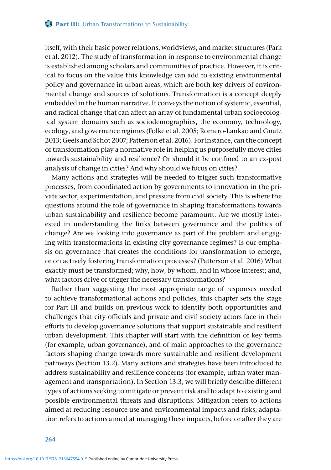itself, with their basic power relations, worldviews, and market structures (Park et al. 2012). The study of transformation in response to environmental change is established among scholars and communities of practice. However, it is critical to focus on the value this knowledge can add to existing environmental policy and governance in urban areas, which are both key drivers of environmental change and sources of solutions. Transformation is a concept deeply embedded in the human narrative. It conveys the notion of systemic, essential, and radical change that can affect an array of fundamental urban socioecological system domains such as sociodemographics, the economy, technology, ecology, and governance regimes (Folke et al. 2005; Romero-Lankao and Gnatz 2013; Geels and Schot 2007; Patterson et al. 2016). For instance, can the concept of transformation play a normative role in helping us purposefully move cities towards sustainability and resilience? Or should it be confined to an ex-post analysis of change in cities? And why should we focus on cities?

Many actions and strategies will be needed to trigger such transformative processes, from coordinated action by governments to innovation in the private sector, experimentation, and pressure from civil society. This is where the questions around the role of governance in shaping transformations towards urban sustainability and resilience become paramount. Are we mostly interested in understanding the links between governance and the politics of change? Are we looking into governance as part of the problem and engaging with transformations in existing city governance regimes? Is our emphasis on governance that creates the conditions for transformation to emerge, or on actively fostering transformation processes? (Patterson et al. 2016) What exactly must be transformed; why, how, by whom, and in whose interest; and, what factors drive or trigger the necessary transformations?

Rather than suggesting the most appropriate range of responses needed to achieve transformational actions and policies, this chapter sets the stage for Part III and builds on previous work to identify both opportunities and challenges that city officials and private and civil society actors face in their efforts to develop governance solutions that support sustainable and resilient urban development. This chapter will start with the definition of key terms (for example, urban governance), and of main approaches to the governance factors shaping change towards more sustainable and resilient development pathways (Section 13.2). Many actions and strategies have been introduced to address sustainability and resilience concerns (for example, urban water management and transportation). In Section 13.3, we will briefly describe different types of actions seeking to mitigate or prevent risk and to adapt to existing and possible environmental threats and disruptions. Mitigation refers to actions aimed at reducing resource use and environmental impacts and risks; adaptation refers to actions aimed at managing these impacts, before or after they are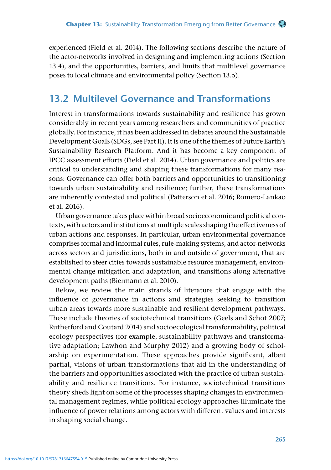experienced (Field et al. 2014). The following sections describe the nature of the actor-networks involved in designing and implementing actions (Section 13.4), and the opportunities, barriers, and limits that multilevel governance poses to local climate and environmental policy (Section 13.5).

## **13.2 Multilevel Governance and Transformations**

Interest in transformations towards sustainability and resilience has grown considerably in recent years among researchers and communities of practice globally. For instance, it has been addressed in debates around the Sustainable Development Goals (SDGs, see Part II). It is one of the themes of Future Earth's Sustainability Research Platform. And it has become a key component of IPCC assessment efforts (Field et al. 2014). Urban governance and politics are critical to understanding and shaping these transformations for many reasons: Governance can offer both barriers and opportunities to transitioning towards urban sustainability and resilience; further, these transformations are inherently contested and political (Patterson et al. 2016; Romero-Lankao et al. 2016).

Urban governance takes place within broad socioeconomic and political contexts, with actors and institutions at multiple scales shaping the effectiveness of urban actions and responses. In particular, urban environmental governance comprises formal and informal rules, rule-making systems, and actor-networks across sectors and jurisdictions, both in and outside of government, that are established to steer cities towards sustainable resource management, environmental change mitigation and adaptation, and transitions along alternative development paths (Biermann et al. 2010).

Below, we review the main strands of literature that engage with the influence of governance in actions and strategies seeking to transition urban areas towards more sustainable and resilient development pathways. These include theories of sociotechnical transitions (Geels and Schot 2007; Rutherford and Coutard 2014) and socioecological transformability, political ecology perspectives (for example, sustainability pathways and transformative adaptation; Lawhon and Murphy 2012) and a growing body of scholarship on experimentation. These approaches provide significant, albeit partial, visions of urban transformations that aid in the understanding of the barriers and opportunities associated with the practice of urban sustainability and resilience transitions. For instance, sociotechnical transitions theory sheds light on some of the processes shaping changes in environmental management regimes, while political ecology approaches illuminate the influence of power relations among actors with different values and interests in shaping social change.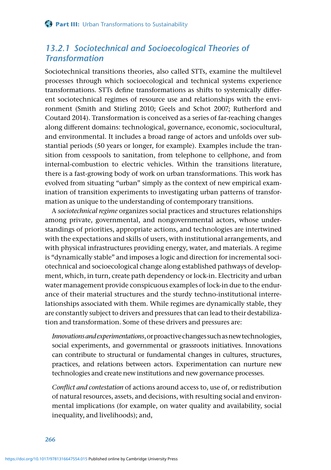#### *13.2.1 Sociotechnical and Socioecological Theories of Transformation*

Sociotechnical transitions theories, also called STTs, examine the multilevel processes through which socioecological and technical systems experience transformations. STTs define transformations as shifts to systemically different sociotechnical regimes of resource use and relationships with the environment (Smith and Stirling 2010; Geels and Schot 2007; Rutherford and Coutard 2014). Transformation is conceived as a series of far-reaching changes along different domains: technological, governance, economic, sociocultural, and environmental. It includes a broad range of actors and unfolds over substantial periods (50 years or longer, for example). Examples include the transition from cesspools to sanitation, from telephone to cellphone, and from internal-combustion to electric vehicles. Within the transitions literature, there is a fast-growing body of work on urban transformations. This work has evolved from situating "urban" simply as the context of new empirical examination of transition experiments to investigating urban patterns of transformation as unique to the understanding of contemporary transitions.

A *sociotechnical regime* organizes social practices and structures relationships among private, governmental, and nongovernmental actors, whose understandings of priorities, appropriate actions, and technologies are intertwined with the expectations and skills of users, with institutional arrangements, and with physical infrastructures providing energy, water, and materials. A regime is "dynamically stable" and imposes a logic and direction for incremental sociotechnical and socioecological change along established pathways of development, which, in turn, create path dependency or lock-in. Electricity and urban water management provide conspicuous examples of lock-in due to the endurance of their material structures and the sturdy techno-institutional interrelationships associated with them. While regimes are dynamically stable, they are constantly subject to drivers and pressures that can lead to their destabilization and transformation. Some of these drivers and pressures are:

*Innovations and experimentations*, or proactive changes such as new technologies, social experiments, and governmental or grassroots initiatives. Innovations can contribute to structural or fundamental changes in cultures, structures, practices, and relations between actors. Experimentation can nurture new technologies and create new institutions and new governance processes.

*Conflict and contestation* of actions around access to, use of, or redistribution of natural resources, assets, and decisions, with resulting social and environmental implications (for example, on water quality and availability, social inequality, and livelihoods); and,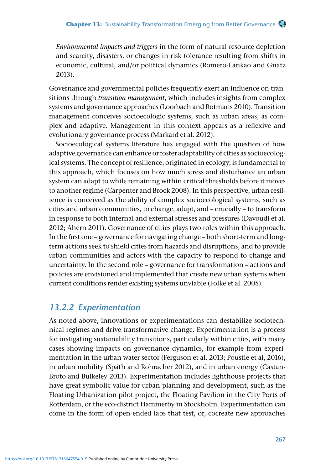*Environmental impacts and triggers* in the form of natural resource depletion and scarcity, disasters, or changes in risk tolerance resulting from shifts in economic, cultural, and/or political dynamics (Romero-Lankao and Gnatz 2013).

Governance and governmental policies frequently exert an influence on transitions through *transition management*, which includes insights from complex systems and governance approaches (Loorbach and Rotmans 2010). Transition management conceives socioecologic systems, such as urban areas, as complex and adaptive. Management in this context appears as a reflexive and evolutionary governance process (Markard et al. 2012).

Socioecological systems literature has engaged with the question of how adaptive governance can enhance or foster adaptability of cities as socioecological systems. The concept of resilience, originated in ecology, is fundamental to this approach, which focuses on how much stress and disturbance an urban system can adapt to while remaining within critical thresholds before it moves to another regime (Carpenter and Brock 2008). In this perspective, urban resilience is conceived as the ability of complex socioecological systems, such as cities and urban communities, to change, adapt, and – crucially – to transform in response to both internal and external stresses and pressures (Davoudi et al. 2012; Ahern 2011). Governance of cities plays two roles within this approach. In the first one – governance for navigating change – both short-term and longterm actions seek to shield cities from hazards and disruptions, and to provide urban communities and actors with the capacity to respond to change and uncertainty. In the second role – governance for transformation – actions and policies are envisioned and implemented that create new urban systems when current conditions render existing systems unviable (Folke et al. 2005).

#### *13.2.2 Experimentation*

As noted above, innovations or experimentations can destabilize sociotechnical regimes and drive transformative change. Experimentation is a process for instigating sustainability transitions, particularly within cities, with many cases showing impacts on governance dynamics, for example from experimentation in the urban water sector (Ferguson et al. 2013; Poustie et al, 2016), in urban mobility (Späth and Rohracher 2012), and in urban energy (Castan-Broto and Bulkeley 2013). Experimentation includes lighthouse projects that have great symbolic value for urban planning and development, such as the Floating Urbanization pilot project, the Floating Pavilion in the City Ports of Rotterdam, or the eco-district Hammerby in Stockholm. Experimentation can come in the form of open-ended labs that test, or, cocreate new approaches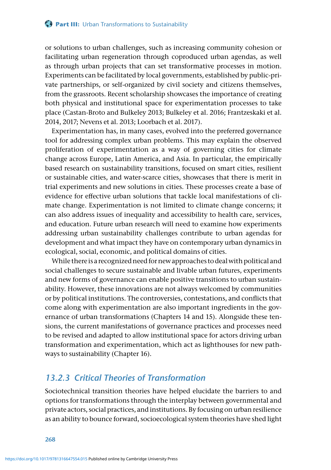or solutions to urban challenges, such as increasing community cohesion or facilitating urban regeneration through coproduced urban agendas, as well as through urban projects that can set transformative processes in motion. Experiments can be facilitated by local governments, established by public-private partnerships, or self-organized by civil society and citizens themselves, from the grassroots. Recent scholarship showcases the importance of creating both physical and institutional space for experimentation processes to take place (Castan-Broto and Bulkeley 2013; Bulkeley et al. 2016; Frantzeskaki et al. 2014, 2017; Nevens et al. 2013; Loorbach et al. 2017).

Experimentation has, in many cases, evolved into the preferred governance tool for addressing complex urban problems. This may explain the observed proliferation of experimentation as a way of governing cities for climate change across Europe, Latin America, and Asia. In particular, the empirically based research on sustainability transitions, focused on smart cities, resilient or sustainable cities, and water-scarce cities, showcases that there is merit in trial experiments and new solutions in cities. These processes create a base of evidence for effective urban solutions that tackle local manifestations of climate change. Experimentation is not limited to climate change concerns; it can also address issues of inequality and accessibility to health care, services, and education. Future urban research will need to examine how experiments addressing urban sustainability challenges contribute to urban agendas for development and what impact they have on contemporary urban dynamics in ecological, social, economic, and political domains of cities.

While there is a recognized need for new approaches to deal with political and social challenges to secure sustainable and livable urban futures, experiments and new forms of governance can enable positive transitions to urban sustainability. However, these innovations are not always welcomed by communities or by political institutions. The controversies, contestations, and conflicts that come along with experimentation are also important ingredients in the governance of urban transformations (Chapters 14 and 15). Alongside these tensions, the current manifestations of governance practices and processes need to be revised and adapted to allow institutional space for actors driving urban transformation and experimentation, which act as lighthouses for new pathways to sustainability (Chapter 16).

#### *13.2.3 Critical Theories of Transformation*

Sociotechnical transition theories have helped elucidate the barriers to and options for transformations through the interplay between governmental and private actors, social practices, and institutions. By focusing on urban resilience as an ability to bounce forward, socioecological system theories have shed light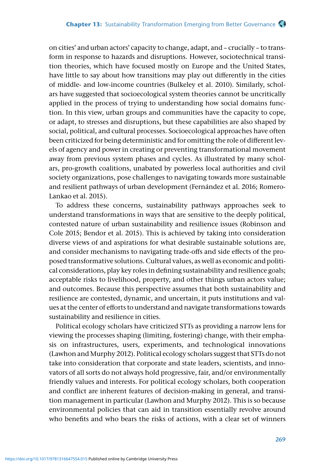on cities' and urban actors' capacity to change, adapt, and – crucially – to transform in response to hazards and disruptions. However, sociotechnical transition theories, which have focused mostly on Europe and the United States, have little to say about how transitions may play out differently in the cities of middle- and low-income countries (Bulkeley et al. 2010). Similarly, scholars have suggested that socioecological system theories cannot be uncritically applied in the process of trying to understanding how social domains function. In this view, urban groups and communities have the capacity to cope, or adapt, to stresses and disruptions, but these capabilities are also shaped by social, political, and cultural processes. Socioecological approaches have often been criticized for being deterministic and for omitting the role of different levels of agency and power in creating or preventing transformational movement away from previous system phases and cycles. As illustrated by many scholars, pro-growth coalitions, unabated by powerless local authorities and civil society organizations, pose challenges to navigating towards more sustainable and resilient pathways of urban development (Fernández et al. 2016; Romero-Lankao et al. 2015).

To address these concerns, sustainability pathways approaches seek to understand transformations in ways that are sensitive to the deeply political, contested nature of urban sustainability and resilience issues (Robinson and Cole 2015; Bendor et al. 2015). This is achieved by taking into consideration diverse views of and aspirations for what desirable sustainable solutions are, and consider mechanisms to navigating trade-offs and side effects of the proposed transformative solutions. Cultural values, as well as economic and political considerations, play key roles in defining sustainability and resilience goals; acceptable risks to livelihood, property, and other things urban actors value; and outcomes. Because this perspective assumes that both sustainability and resilience are contested, dynamic, and uncertain, it puts institutions and values at the center of efforts to understand and navigate transformations towards sustainability and resilience in cities.

Political ecology scholars have criticized STTs as providing a narrow lens for viewing the processes shaping (limiting, fostering) change, with their emphasis on infrastructures, users, experiments, and technological innovations (Lawhon and Murphy 2012). Political ecology scholars suggest that STTs do not take into consideration that corporate and state leaders, scientists, and innovators of all sorts do not always hold progressive, fair, and/or environmentally friendly values and interests. For political ecology scholars, both cooperation and conflict are inherent features of decision-making in general, and transition management in particular (Lawhon and Murphy 2012). This is so because environmental policies that can aid in transition essentially revolve around who benefits and who bears the risks of actions, with a clear set of winners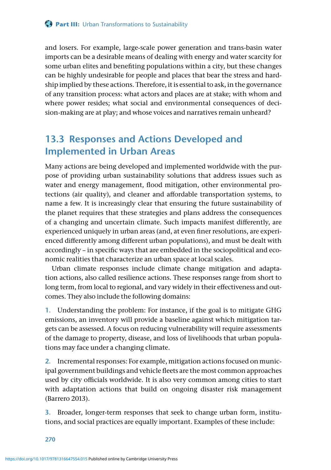and losers. For example, large-scale power generation and trans-basin water imports can be a desirable means of dealing with energy and water scarcity for some urban elites and benefiting populations within a city, but these changes can be highly undesirable for people and places that bear the stress and hardship implied by these actions. Therefore, it is essential to ask, in the governance of any transition process: what actors and places are at stake; with whom and where power resides; what social and environmental consequences of decision-making are at play; and whose voices and narratives remain unheard?

# **13.3 Responses and Actions Developed and Implemented in Urban Areas**

Many actions are being developed and implemented worldwide with the purpose of providing urban sustainability solutions that address issues such as water and energy management, flood mitigation, other environmental protections (air quality), and cleaner and affordable transportation systems, to name a few. It is increasingly clear that ensuring the future sustainability of the planet requires that these strategies and plans address the consequences of a changing and uncertain climate. Such impacts manifest differently, are experienced uniquely in urban areas (and, at even finer resolutions, are experienced differently among different urban populations), and must be dealt with accordingly – in specific ways that are embedded in the sociopolitical and economic realities that characterize an urban space at local scales.

Urban climate responses include climate change mitigation and adaptation actions, also called resilience actions. These responses range from short to long term, from local to regional, and vary widely in their effectiveness and outcomes. They also include the following domains:

**1.** Understanding the problem: For instance, if the goal is to mitigate GHG emissions, an inventory will provide a baseline against which mitigation targets can be assessed. A focus on reducing vulnerability will require assessments of the damage to property, disease, and loss of livelihoods that urban populations may face under a changing climate.

**2.** Incremental responses: For example, mitigation actions focused on municipal government buildings and vehicle fleets are the most common approaches used by city officials worldwide. It is also very common among cities to start with adaptation actions that build on ongoing disaster risk management (Barrero 2013).

**3.** Broader, longer-term responses that seek to change urban form, institutions, and social practices are equally important. Examples of these include: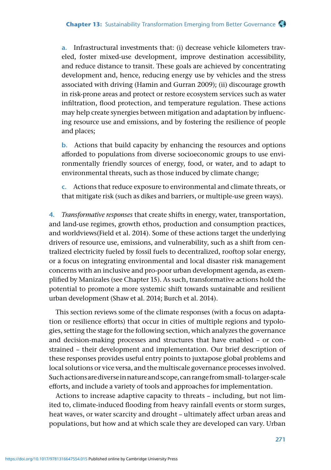**a.** Infrastructural investments that: (i) decrease vehicle kilometers traveled, foster mixed-use development, improve destination accessibility, and reduce distance to transit. These goals are achieved by concentrating development and, hence, reducing energy use by vehicles and the stress associated with driving (Hamin and Gurran 2009); (ii) discourage growth in risk-prone areas and protect or restore ecosystem services such as water infiltration, flood protection, and temperature regulation. These actions may help create synergies between mitigation and adaptation by influencing resource use and emissions, and by fostering the resilience of people and places;

**b.** Actions that build capacity by enhancing the resources and options afforded to populations from diverse socioeconomic groups to use environmentally friendly sources of energy, food, or water, and to adapt to environmental threats, such as those induced by climate change;

**c.** Actions that reduce exposure to environmental and climate threats, or that mitigate risk (such as dikes and barriers, or multiple-use green ways).

**4.** *Transformative responses* that create shifts in energy, water, transportation, and land-use regimes, growth ethos, production and consumption practices, and worldviews(Field et al. 2014). Some of these actions target the underlying drivers of resource use, emissions, and vulnerability, such as a shift from centralized electricity fueled by fossil fuels to decentralized, rooftop solar energy, or a focus on integrating environmental and local disaster risk management concerns with an inclusive and pro-poor urban development agenda, as exemplified by Manizales (see Chapter 15). As such, transformative actions hold the potential to promote a more systemic shift towards sustainable and resilient urban development (Shaw et al. 2014; Burch et al. 2014).

This section reviews some of the climate responses (with a focus on adaptation or resilience efforts) that occur in cities of multiple regions and typologies, setting the stage for the following section, which analyzes the governance and decision-making processes and structures that have enabled – or constrained – their development and implementation. Our brief description of these responses provides useful entry points to juxtapose global problems and local solutions or vice versa, and the multiscale governance processes involved. Such actions are diverse in nature and scope, can range from small- to larger-scale efforts, and include a variety of tools and approaches for implementation.

Actions to increase adaptive capacity to threats – including, but not limited to, climate-induced flooding from heavy rainfall events or storm surges, heat waves, or water scarcity and drought – ultimately affect urban areas and populations, but how and at which scale they are developed can vary. Urban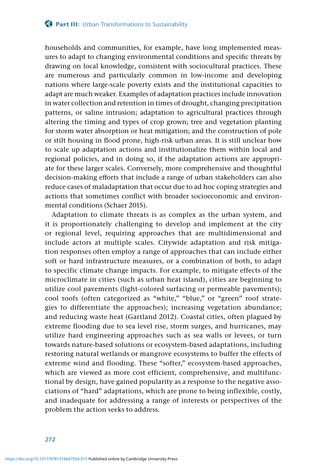households and communities, for example, have long implemented measures to adapt to changing environmental conditions and specific threats by drawing on local knowledge, consistent with sociocultural practices. These are numerous and particularly common in low-income and developing nations where large-scale poverty exists and the institutional capacities to adapt are much weaker. Examples of adaptation practices include innovation in water collection and retention in times of drought, changing precipitation patterns, or saline intrusion; adaptation to agricultural practices through altering the timing and types of crop grown; tree and vegetation planting for storm water absorption or heat mitigation; and the construction of pole or stilt housing in flood prone, high-risk urban areas. It is still unclear how to scale up adaptation actions and institutionalize them within local and regional policies, and in doing so, if the adaptation actions are appropriate for these larger scales. Conversely, more comprehensive and thoughtful decision-making efforts that include a range of urban stakeholders can also reduce cases of maladaptation that occur due to ad hoc coping strategies and actions that sometimes conflict with broader socioeconomic and environmental conditions (Schaer 2015).

Adaptation to climate threats is as complex as the urban system, and it is proportionately challenging to develop and implement at the city or regional level, requiring approaches that are multidimensional and include actors at multiple scales. Citywide adaptation and risk mitigation responses often employ a range of approaches that can include either soft or hard infrastructure measures, or a combination of both, to adapt to specific climate change impacts. For example, to mitigate effects of the microclimate in cities (such as urban heat island), cities are beginning to utilize cool pavements (light-colored surfacing or permeable pavements); cool roofs (often categorized as "white," "blue," or "green" roof strategies to differentiate the approaches); increasing vegetation abundance; and reducing waste heat (Gartland 2012). Coastal cities, often plagued by extreme flooding due to sea level rise, storm surges, and hurricanes, may utilize hard engineering approaches such as sea walls or levees, or turn towards nature-based solutions or ecosystem-based adaptations, including restoring natural wetlands or mangrove ecosystems to buffer the effects of extreme wind and flooding. These "softer," ecosystem-based approaches, which are viewed as more cost efficient, comprehensive, and multifunctional by design, have gained popularity as a response to the negative associations of "hard" adaptations, which are prone to being inflexible, costly, and inadequate for addressing a range of interests or perspectives of the problem the action seeks to address.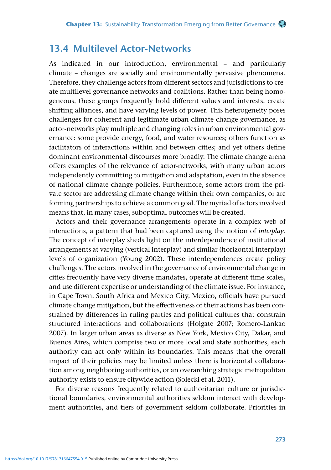## **13.4 Multilevel Actor-Networks**

As indicated in our introduction, environmental – and particularly climate – changes are socially and environmentally pervasive phenomena. Therefore, they challenge actors from different sectors and jurisdictions to create multilevel governance networks and coalitions. Rather than being homogeneous, these groups frequently hold different values and interests, create shifting alliances, and have varying levels of power. This heterogeneity poses challenges for coherent and legitimate urban climate change governance, as actor-networks play multiple and changing roles in urban environmental governance: some provide energy, food, and water resources; others function as facilitators of interactions within and between cities; and yet others define dominant environmental discourses more broadly. The climate change arena offers examples of the relevance of actor-networks, with many urban actors independently committing to mitigation and adaptation, even in the absence of national climate change policies. Furthermore, some actors from the private sector are addressing climate change within their own companies, or are forming partnerships to achieve a common goal. The myriad of actors involved means that, in many cases, suboptimal outcomes will be created.

Actors and their governance arrangements operate in a complex web of interactions, a pattern that had been captured using the notion of *interplay*. The concept of interplay sheds light on the interdependence of institutional arrangements at varying (vertical interplay) and similar (horizontal interplay) levels of organization (Young 2002). These interdependences create policy challenges. The actors involved in the governance of environmental change in cities frequently have very diverse mandates, operate at different time scales, and use different expertise or understanding of the climate issue. For instance, in Cape Town, South Africa and Mexico City, Mexico, officials have pursued climate change mitigation, but the effectiveness of their actions has been constrained by differences in ruling parties and political cultures that constrain structured interactions and collaborations (Holgate 2007; Romero-Lankao 2007). In larger urban areas as diverse as New York, Mexico City, Dakar, and Buenos Aires, which comprise two or more local and state authorities, each authority can act only within its boundaries. This means that the overall impact of their policies may be limited unless there is horizontal collaboration among neighboring authorities, or an overarching strategic metropolitan authority exists to ensure citywide action (Solecki et al. 2011).

For diverse reasons frequently related to authoritarian culture or jurisdictional boundaries, environmental authorities seldom interact with development authorities, and tiers of government seldom collaborate. Priorities in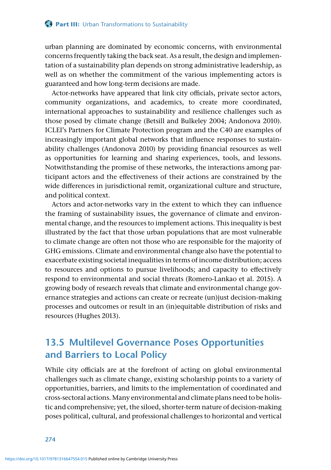urban planning are dominated by economic concerns, with environmental concerns frequently taking the back seat. As a result, the design and implementation of a sustainability plan depends on strong administrative leadership, as well as on whether the commitment of the various implementing actors is guaranteed and how long-term decisions are made.

Actor-networks have appeared that link city officials, private sector actors, community organizations, and academics, to create more coordinated, international approaches to sustainability and resilience challenges such as those posed by climate change (Betsill and Bulkeley 2004; Andonova 2010). ICLEI's Partners for Climate Protection program and the C40 are examples of increasingly important global networks that influence responses to sustainability challenges (Andonova 2010) by providing financial resources as well as opportunities for learning and sharing experiences, tools, and lessons. Notwithstanding the promise of these networks, the interactions among participant actors and the effectiveness of their actions are constrained by the wide differences in jurisdictional remit, organizational culture and structure, and political context.

Actors and actor-networks vary in the extent to which they can influence the framing of sustainability issues, the governance of climate and environmental change, and the resources to implement actions. This inequality is best illustrated by the fact that those urban populations that are most vulnerable to climate change are often not those who are responsible for the majority of GHG emissions. Climate and environmental change also have the potential to exacerbate existing societal inequalities in terms of income distribution; access to resources and options to pursue livelihoods; and capacity to effectively respond to environmental and social threats (Romero-Lankao et al. 2015). A growing body of research reveals that climate and environmental change governance strategies and actions can create or recreate (un)just decision-making processes and outcomes or result in an (in)equitable distribution of risks and resources (Hughes 2013).

# **13.5 Multilevel Governance Poses Opportunities and Barriers to Local Policy**

While city officials are at the forefront of acting on global environmental challenges such as climate change, existing scholarship points to a variety of opportunities, barriers, and limits to the implementation of coordinated and cross-sectoral actions. Many environmental and climate plans need to be holistic and comprehensive; yet, the siloed, shorter-term nature of decision-making poses political, cultural, and professional challenges to horizontal and vertical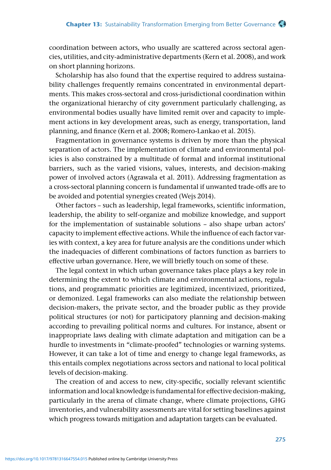coordination between actors, who usually are scattered across sectoral agencies, utilities, and city-administrative departments (Kern et al. 2008), and work on short planning horizons.

Scholarship has also found that the expertise required to address sustainability challenges frequently remains concentrated in environmental departments. This makes cross-sectoral and cross-jurisdictional coordination within the organizational hierarchy of city government particularly challenging, as environmental bodies usually have limited remit over and capacity to implement actions in key development areas, such as energy, transportation, land planning, and finance (Kern et al. 2008; Romero-Lankao et al. 2015).

Fragmentation in governance systems is driven by more than the physical separation of actors. The implementation of climate and environmental policies is also constrained by a multitude of formal and informal institutional barriers, such as the varied visions, values, interests, and decision-making power of involved actors (Agrawala et al. 2011). Addressing fragmentation as a cross-sectoral planning concern is fundamental if unwanted trade-offs are to be avoided and potential synergies created (Wejs 2014).

Other factors – such as leadership, legal frameworks, scientific information, leadership, the ability to self-organize and mobilize knowledge, and support for the implementation of sustainable solutions – also shape urban actors' capacity to implement effective actions. While the influence of each factor varies with context, a key area for future analysis are the conditions under which the inadequacies of different combinations of factors function as barriers to effective urban governance. Here, we will briefly touch on some of these.

The legal context in which urban governance takes place plays a key role in determining the extent to which climate and environmental actions, regulations, and programmatic priorities are legitimized, incentivized, prioritized, or demonized. Legal frameworks can also mediate the relationship between decision-makers, the private sector, and the broader public as they provide political structures (or not) for participatory planning and decision-making according to prevailing political norms and cultures. For instance, absent or inappropriate laws dealing with climate adaptation and mitigation can be a hurdle to investments in "climate-proofed" technologies or warning systems. However, it can take a lot of time and energy to change legal frameworks, as this entails complex negotiations across sectors and national to local political levels of decision-making.

The creation of and access to new, city-specific, socially relevant scientific information and local knowledge is fundamental for effective decision-making, particularly in the arena of climate change, where climate projections, GHG inventories, and vulnerability assessments are vital for setting baselines against which progress towards mitigation and adaptation targets can be evaluated.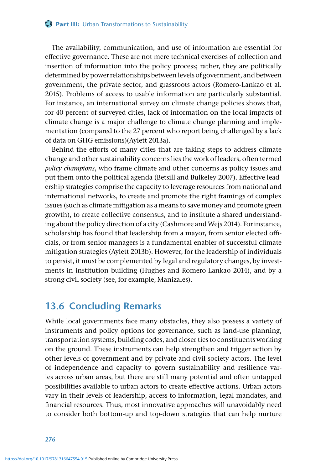The availability, communication, and use of information are essential for effective governance. These are not mere technical exercises of collection and insertion of information into the policy process; rather, they are politically determined by power relationships between levels of government, and between government, the private sector, and grassroots actors (Romero-Lankao et al. 2015). Problems of access to usable information are particularly substantial. For instance, an international survey on climate change policies shows that, for 40 percent of surveyed cities, lack of information on the local impacts of climate change is a major challenge to climate change planning and implementation (compared to the 27 percent who report being challenged by a lack of data on GHG emissions)(Aylett 2013a).

Behind the efforts of many cities that are taking steps to address climate change and other sustainability concerns lies the work of leaders, often termed *policy champions*, who frame climate and other concerns as policy issues and put them onto the political agenda (Betsill and Bulkeley 2007). Effective leadership strategies comprise the capacity to leverage resources from national and international networks, to create and promote the right framings of complex issues (such as climate mitigation as a means to save money and promote green growth), to create collective consensus, and to institute a shared understanding about the policy direction of a city (Cashmore and Wejs 2014). For instance, scholarship has found that leadership from a mayor, from senior elected officials, or from senior managers is a fundamental enabler of successful climate mitigation strategies (Aylett 2013b). However, for the leadership of individuals to persist, it must be complemented by legal and regulatory changes, by investments in institution building (Hughes and Romero-Lankao 2014), and by a strong civil society (see, for example, Manizales).

## **13.6 Concluding Remarks**

While local governments face many obstacles, they also possess a variety of instruments and policy options for governance, such as land-use planning, transportation systems, building codes, and closer ties to constituents working on the ground. These instruments can help strengthen and trigger action by other levels of government and by private and civil society actors. The level of independence and capacity to govern sustainability and resilience varies across urban areas, but there are still many potential and often untapped possibilities available to urban actors to create effective actions. Urban actors vary in their levels of leadership, access to information, legal mandates, and financial resources. Thus, most innovative approaches will unavoidably need to consider both bottom-up and top-down strategies that can help nurture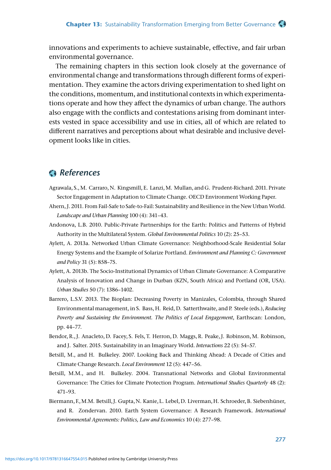innovations and experiments to achieve sustainable, effective, and fair urban environmental governance.

The remaining chapters in this section look closely at the governance of environmental change and transformations through different forms of experimentation. They examine the actors driving experimentation to shed light on the conditions, momentum, and institutional contexts in which experimentations operate and how they affect the dynamics of urban change. The authors also engage with the conflicts and contestations arising from dominant interests vested in space accessibility and use in cities, all of which are related to different narratives and perceptions about what desirable and inclusive development looks like in cities.

#### *References*

- Agrawala, S., M. Carraro, N. Kingsmill, E. Lanzi, M. Mullan, and G. Prudent-Richard. 2011. Private Sector Engagement in Adaptation to Climate Change. OECD Environment Working Paper.
- Ahern, J. 2011. From Fail-Safe to Safe-to-Fail: Sustainability and Resilience in the New Urban World. *Landscape and Urban Planning* 100 (4): 341–43.
- Andonova, L.B. 2010. Public-Private Partnerships for the Earth: Politics and Patterns of Hybrid Authority in the Multilateral System. *Global Environmental Politics* 10 (2): 25–53.
- Aylett, A. 2013a. Networked Urban Climate Governance: Neighborhood-Scale Residential Solar Energy Systems and the Example of Solarize Portland. *Environment and Planning C: Government and Policy* 31 (5): 858–75.
- Aylett, A. 2013b. The Socio-Institutional Dynamics of Urban Climate Governance: A Comparative Analysis of Innovation and Change in Durban (KZN, South Africa) and Portland (OR, USA). *Urban Studies* 50 (7): 1386–1402.
- Barrero, L.S.V. 2013. The Bioplan: Decreasing Poverty in Manizales, Colombia, through Shared Environmental management, in S. Bass, H. Reid, D. Satterthwaite, and P. Steele (eds.), *Reducing Poverty and Sustaining the Environment. The Politics of Local Engagement*, Earthscan: London, pp. 44–77.
- Bendor, R., J. Anacleto, D. Facey, S. Fels, T. Herron, D. Maggs, R. Peake, J. Robinson, M. Robinson, and J. Salter. 2015. Sustainability in an Imaginary World. *Interactions* 22 (5): 54–57.
- Betsill, M., and H. Bulkeley. 2007. Looking Back and Thinking Ahead: A Decade of Cities and Climate Change Research. *Local Environment* 12 (5): 447–56.
- Betsill, M.M., and H. Bulkeley. 2004. Transnational Networks and Global Environmental Governance: The Cities for Climate Protection Program. *International Studies Quarterly* 48 (2): 471–93.
- Biermann, F., M.M. Betsill, J. Gupta, N. Kanie, L. Lebel, D. Liverman, H. Schroeder, B. Siebenhüner, and R. Zondervan. 2010. Earth System Governance: A Research Framework. *International Environmental Agreements: Politics, Law and Economics* 10 (4): 277–98.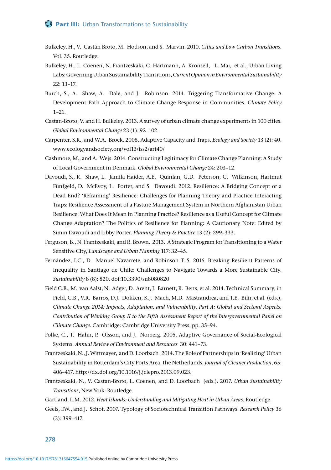#### **Part III:** Urban Transformations to Sustainability

- Bulkeley, H., V. Castán Broto, M. Hodson, and S. Marvin. 2010. *Cities and Low Carbon Transitions*. Vol. 35. Routledge.
- Bulkeley, H., L. Coenen, N. Frantzeskaki, C. Hartmann, A. Kronsell, L. Mai, et al., Urban Living Labs: Governing Urban Sustainability Transitions, *Current Opinion in Environmental Sustainability* 22: 13–17.
- Burch, S., A. Shaw, A. Dale, and J. Robinson. 2014. Triggering Transformative Change: A Development Path Approach to Climate Change Response in Communities. *Climate Policy* 1–21.
- Castan-Broto, V. and H. Bulkeley. 2013. A survey of urban climate change experiments in 100 cities. *Global Environmental Change* 23 (1): 92–102.
- Carpenter, S.R., and W.A. Brock. 2008. Adaptive Capacity and Traps. *Ecology and Society* 13 (2): 40. www.ecologyandsociety.org/vol13/iss2/art40/
- Cashmore, M., and A. Wejs. 2014. Constructing Legitimacy for Climate Change Planning: A Study of Local Government in Denmark. *Global Environmental Change* 24: 203–12.
- Davoudi, S., K. Shaw, L. Jamila Haider, A.E. Quinlan, G.D. Peterson, C. Wilkinson, Hartmut Fünfgeld, D. McEvoy, L. Porter, and S. Davoudi. 2012. Resilience: A Bridging Concept or a Dead End? 'Reframing' Resilience: Challenges for Planning Theory and Practice Interacting Traps: Resilience Assessment of a Pasture Management System in Northern Afghanistan Urban Resilience: What Does It Mean in Planning Practice? Resilience as a Useful Concept for Climate Change Adaptation? The Politics of Resilience for Planning: A Cautionary Note: Edited by Simin Davoudi and Libby Porter. *Planning Theory & Practice* 13 (2): 299–333.
- Ferguson, B., N. Frantzeskaki, and R. Brown. 2013. A Strategic Program for Transitioning to a Water Sensitive City, *Landscape and Urban Planning* 117: 32–45.
- Fernández, I.C., D. Manuel-Navarrete, and Robinson T.-S. 2016. Breaking Resilient Patterns of Inequality in Santiago de Chile: Challenges to Navigate Towards a More Sustainable City. *Sustainability* 8 (8): 820. doi:10.3390/su8080820
- Field C.B., M. van Aalst, N. Adger, D. Arent, J. Barnett, R. Betts, et al. 2014. Technical Summary, in Field, C.B., V.R. Barros, D.J. Dokken, K.J. Mach, M.D. Mastrandrea, and T.E. Bilir, et al. (eds.), *Climate Change 2014: Impacts, Adaptation, and Vulnerability. Part A: Global and Sectoral Aspects. Contribution of Working Group II to the Fifth Assessment Report of the Intergovernmental Panel on Climate Change*. Cambridge: Cambridge University Press, pp. 35–94.
- Folke, C., T. Hahn, P. Olsson, and J. Norberg. 2005. Adaptive Governance of Social-Ecological Systems. *Annual Review of Environment and Resources* 30: 441–73.
- Frantzeskaki, N., J. Wittmayer, and D. Loorbach 2014. The Role of Partnerships in 'Realizing' Urban Sustainability in Rotterdam's City Ports Area, the Netherlands, *Journal of Cleaner Production*, 65: 406–417. http://dx.doi.org/10.1016/j.jclepro.2013.09.023.
- Frantzeskaki, N., V. Castan-Broto, L. Coenen, and D. Loorbach (eds.). 2017. *Urban Sustainability Transitions*, New York: Routledge.

Gartland, L.M. 2012. *Heat Islands: Understanding and Mitigating Heat in Urban Areas*. Routledge.

Geels, F.W., and J. Schot. 2007. Typology of Sociotechnical Transition Pathways. *Research Policy* 36 (3): 399–417.

**278**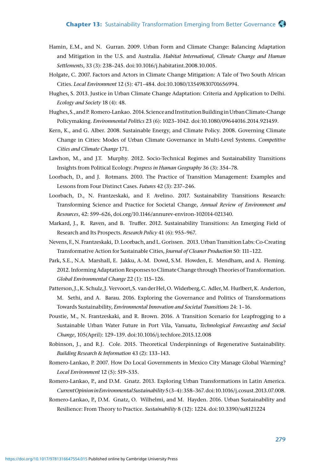- Hamin, E.M., and N. Gurran. 2009. Urban Form and Climate Change: Balancing Adaptation and Mitigation in the U.S. and Australia. *Habitat International, Climate Change and Human Settlements*, 33 (3): 238–245. doi:10.1016/j.habitatint.2008.10.005.
- Holgate, C. 2007. Factors and Actors in Climate Change Mitigation: A Tale of Two South African Cities. *Local Environment* 12 (5): 471–484. doi:10.1080/13549830701656994.
- Hughes, S. 2013. Justice in Urban Climate Change Adaptation: Criteria and Application to Delhi. *Ecology and Society* 18 (4): 48.
- Hughes, S., and P. Romero-Lankao. 2014. Science and Institution Building in Urban Climate-Change Policymaking. *Environmental Politics* 23 (6): 1023–1042. doi:10.1080/09644016.2014.921459.
- Kern, K., and G. Alber. 2008. Sustainable Energy, and Climate Policy. 2008. Governing Climate Change in Cities: Modes of Urban Climate Governance in Multi-Level Systems. *Competitive Cities and Climate Change* 171.
- Lawhon, M., and J.T. Murphy. 2012. Socio-Technical Regimes and Sustainability Transitions Insights from Political Ecology. *Progress in Human Geography* 36 (3): 354–78.
- Loorbach, D., and J. Rotmans. 2010. The Practice of Transition Management: Examples and Lessons from Four Distinct Cases. *Futures* 42 (3): 237–246.
- Loorbach, D., N. Frantzeskaki, and F. Avelino. 2017. Sustainability Transitions Research: Transforming Science and Practice for Societal Change, *Annual Review of Environment and Resources*, 42: 599–626, doi.org/10.1146/annurev-environ-102014-021340.
- Markard, J., R. Raven, and B. Truffer. 2012. Sustainability Transitions: An Emerging Field of Research and Its Prospects. *Research Policy* 41 (6): 955–967.
- Nevens, F., N. Frantzeskaki, D. Loorbach, and L. Gorissen. 2013. Urban Transition Labs: Co-Creating Transformative Action for Sustainable Cities, *Journal of Cleaner Production* 50: 111–122.
- Park, S.E., N.A. Marshall, E. Jakku, A.-M. Dowd, S.M. Howden, E. Mendham, and A. Fleming. 2012. Informing Adaptation Responses to Climate Change through Theories of Transformation. *Global Environmental Change* 22 (1): 115–126.
- Patterson, J., K. Schulz, J. Vervoort, S. van der Hel, O. Widerberg, C. Adler, M. Hurlbert, K. Anderton, M. Sethi, and A. Barau. 2016. Exploring the Governance and Politics of Transformations Towards Sustainability, *Environmental Innovation and Societal Transitions* 24: 1–16.
- Poustie, M., N. Frantzeskaki, and R. Brown. 2016. A Transition Scenario for Leapfrogging to a Sustainable Urban Water Future in Port Vila, Vanuatu, *Technological Forecasting and Social Change*, 105(April): 129–139. doi:10.1016/j.techfore.2015.12.008
- Robinson, J., and R.J. Cole. 2015. Theoretical Underpinnings of Regenerative Sustainability. *Building Research & Information* 43 (2): 133–143.
- Romero-Lankao, P. 2007. How Do Local Governments in Mexico City Manage Global Warming? *Local Environment* 12 (5): 519–535.
- Romero-Lankao, P., and D.M. Gnatz. 2013. Exploring Urban Transformations in Latin America. *Current Opinion in Environmental Sustainability* 5 (3–4): 358–367. doi:10.1016/j.cosust.2013.07.008.
- Romero-Lankao, P., D.M. Gnatz, O. Wilhelmi, and M. Hayden. 2016. Urban Sustainability and Resilience: From Theory to Practice. *Sustainability* 8 (12): 1224. doi:10.3390/su8121224